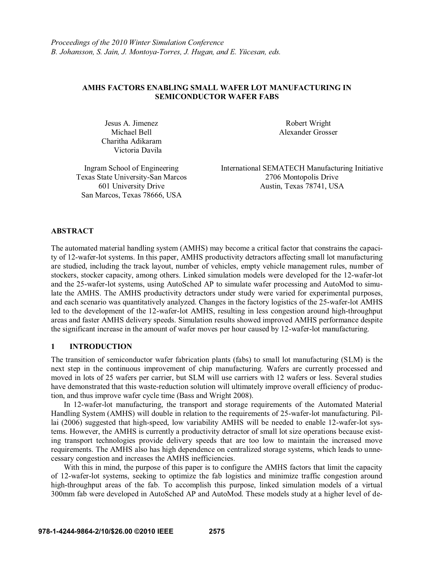#### **AMHS FACTORS ENABLING SMALL WAFER LOT MANUFACTURING IN SEMICONDUCTOR WAFER FABS**

Jesus A. Jimenez Robert Wright Charitha Adikaram Victoria Davila

Michael Bell **Alexander Grosser** 

San Marcos, Texas 78666, USA

Ingram School of Engineering International SEMATECH Manufacturing Initiative Texas State University-San Marcos 2706 Montopolis Drive 601 University Drive Austin, Texas 78741, USA

## **ABSTRACT**

The automated material handling system (AMHS) may become a critical factor that constrains the capacity of 12-wafer-lot systems. In this paper, AMHS productivity detractors affecting small lot manufacturing are studied, including the track layout, number of vehicles, empty vehicle management rules, number of stockers, stocker capacity, among others. Linked simulation models were developed for the 12-wafer-lot and the 25-wafer-lot systems, using AutoSched AP to simulate wafer processing and AutoMod to simulate the AMHS. The AMHS productivity detractors under study were varied for experimental purposes, and each scenario was quantitatively analyzed. Changes in the factory logistics of the 25-wafer-lot AMHS led to the development of the 12-wafer-lot AMHS, resulting in less congestion around high-throughput areas and faster AMHS delivery speeds. Simulation results showed improved AMHS performance despite the significant increase in the amount of wafer moves per hour caused by 12-wafer-lot manufacturing.

### **1 INTRODUCTION**

The transition of semiconductor wafer fabrication plants (fabs) to small lot manufacturing (SLM) is the next step in the continuous improvement of chip manufacturing. Wafers are currently processed and moved in lots of 25 wafers per carrier, but SLM will use carriers with 12 wafers or less. Several studies have demonstrated that this waste-reduction solution will ultimately improve overall efficiency of production, and thus improve wafer cycle time (Bass and Wright 2008).

In 12-wafer-lot manufacturing, the transport and storage requirements of the Automated Material Handling System (AMHS) will double in relation to the requirements of 25-wafer-lot manufacturing. Pillai (2006) suggested that high-speed, low variability AMHS will be needed to enable 12-wafer-lot systems. However, the AMHS is currently a productivity detractor of small lot size operations because existing transport technologies provide delivery speeds that are too low to maintain the increased move requirements. The AMHS also has high dependence on centralized storage systems, which leads to unnecessary congestion and increases the AMHS inefficiencies.

With this in mind, the purpose of this paper is to configure the AMHS factors that limit the capacity of 12-wafer-lot systems, seeking to optimize the fab logistics and minimize traffic congestion around high-throughput areas of the fab. To accomplish this purpose, linked simulation models of a virtual 300mm fab were developed in AutoSched AP and AutoMod. These models study at a higher level of de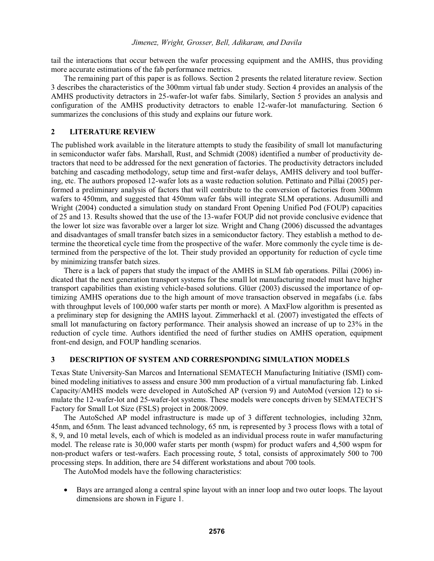tail the interactions that occur between the wafer processing equipment and the AMHS, thus providing more accurate estimations of the fab performance metrics.

The remaining part of this paper is as follows. Section 2 presents the related literature review. Section 3 describes the characteristics of the 300mm virtual fab under study. Section 4 provides an analysis of the AMHS productivity detractors in 25-wafer-lot wafer fabs. Similarly, Section 5 provides an analysis and configuration of the AMHS productivity detractors to enable 12-wafer-lot manufacturing. Section 6 summarizes the conclusions of this study and explains our future work.

#### **2 LITERATURE REVIEW**

The published work available in the literature attempts to study the feasibility of small lot manufacturing in semiconductor wafer fabs. Marshall, Rust, and Schmidt (2008) identified a number of productivity detractors that need to be addressed for the next generation of factories. The productivity detractors included batching and cascading methodology, setup time and first-wafer delays, AMHS delivery and tool buffering, etc. The authors proposed 12-wafer lots as a waste reduction solution. Pettinato and Pillai (2005) performed a preliminary analysis of factors that will contribute to the conversion of factories from 300mm wafers to 450mm, and suggested that 450mm wafer fabs will integrate SLM operations. Adusumilli and Wright (2004) conducted a simulation study on standard Front Opening Unified Pod (FOUP) capacities of 25 and 13. Results showed that the use of the 13-wafer FOUP did not provide conclusive evidence that the lower lot size was favorable over a larger lot size. Wright and Chang (2006) discussed the advantages and disadvantages of small transfer batch sizes in a semiconductor factory. They establish a method to determine the theoretical cycle time from the prospective of the wafer. More commonly the cycle time is determined from the perspective of the lot. Their study provided an opportunity for reduction of cycle time by minimizing transfer batch sizes.

There is a lack of papers that study the impact of the AMHS in SLM fab operations. Pillai (2006) indicated that the next generation transport systems for the small lot manufacturing model must have higher transport capabilities than existing vehicle-based solutions. Glüer (2003) discussed the importance of optimizing AMHS operations due to the high amount of move transaction observed in megafabs (i.e. fabs with throughput levels of 100,000 wafer starts per month or more). A MaxFlow algorithm is presented as a preliminary step for designing the AMHS layout. Zimmerhackl et al. (2007) investigated the effects of small lot manufacturing on factory performance. Their analysis showed an increase of up to 23% in the reduction of cycle time. Authors identified the need of further studies on AMHS operation, equipment front-end design, and FOUP handling scenarios.

### **3 DESCRIPTION OF SYSTEM AND CORRESPONDING SIMULATION MODELS**

Texas State University-San Marcos and International SEMATECH Manufacturing Initiative (ISMI) combined modeling initiatives to assess and ensure 300 mm production of a virtual manufacturing fab. Linked Capacity/AMHS models were developed in AutoSched AP (version 9) and AutoMod (version 12) to simulate the 12-wafer-lot and 25-wafer-lot systems. These models were concepts driven by SEMATECH'S Factory for Small Lot Size (FSLS) project in 2008/2009.

The AutoSched AP model infrastructure is made up of 3 different technologies, including 32nm, 45nm, and 65nm. The least advanced technology, 65 nm, is represented by 3 process flows with a total of 8, 9, and 10 metal levels, each of which is modeled as an individual process route in wafer manufacturing model. The release rate is 30,000 wafer starts per month (wspm) for product wafers and 4,500 wspm for non-product wafers or test-wafers. Each processing route, 5 total, consists of approximately 500 to 700 processing steps. In addition, there are 54 different workstations and about 700 tools.

The AutoMod models have the following characteristics:

 $\bullet$  Bays are arranged along a central spine layout with an inner loop and two outer loops. The layout dimensions are shown in Figure 1.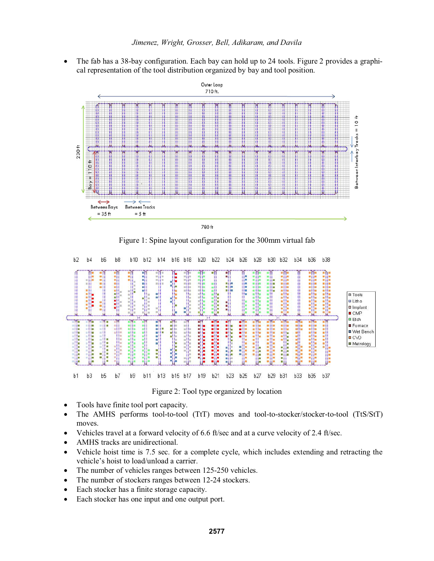- The fab has a 38-bay configuration. Each bay can hold up to 24 tools. Figure 2 provides a graphical representation of the tool distribution organized by bay and tool position.



Figure 1: Spine layout configuration for the 300mm virtual fab



Figure 2: Tool type organized by location

- $\bullet$ Tools have finite tool port capacity.
- $\bullet$  The AMHS performs tool-to-tool (TtT) moves and tool-to-stocker/stocker-to-tool (TtS/StT) moves.
- $\bullet$ Vehicles travel at a forward velocity of 6.6 ft/sec and at a curve velocity of 2.4 ft/sec.
- $\bullet$ AMHS tracks are unidirectional.
- $\bullet$  Vehicle hoist time is 7.5 sec. for a complete cycle, which includes extending and retracting the vehicle's hoist to load/unload a carrier.
- $\bullet$ The number of vehicles ranges between 125-250 vehicles.
- $\bullet$ The number of stockers ranges between 12-24 stockers.
- $\bullet$ Each stocker has a finite storage capacity.
- $\bullet$ Each stocker has one input and one output port.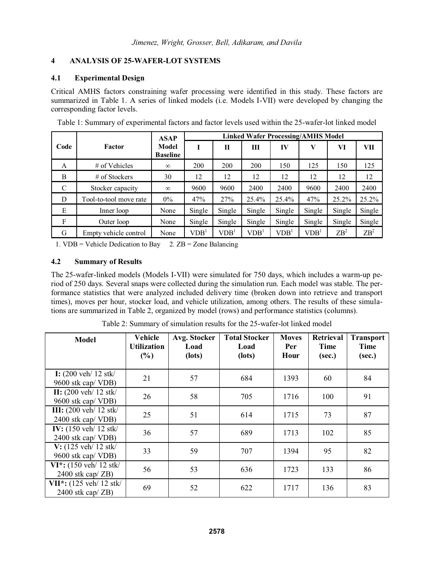## **4 ANALYSIS OF 25-WAFER-LOT SYSTEMS**

### **4.1 Experimental Design**

Critical AMHS factors constraining wafer processing were identified in this study. These factors are summarized in Table 1. A series of linked models (i.e. Models I-VII) were developed by changing the corresponding factor levels.

|              | Factor                 | <b>ASAP</b>              | <b>Linked Wafer Processing/AMHS Model</b> |                  |                  |                  |                  |                 |                 |  |
|--------------|------------------------|--------------------------|-------------------------------------------|------------------|------------------|------------------|------------------|-----------------|-----------------|--|
| Code         |                        | Model<br><b>Baseline</b> |                                           | $\mathbf{I}$     | Ш                | IV               |                  | VI              | VII             |  |
| A            | # of Vehicles          | $\infty$                 | 200                                       | 200              | 200              | 150              | 125              | 150             | 125             |  |
| B            | # of Stockers          | 30                       | 12                                        | 12               | 12               | 12               | 12               | 12              | 12              |  |
| $\mathsf{C}$ | Stocker capacity       | $\infty$                 | 9600                                      | 9600             | 2400             | 2400             | 9600             | 2400            | 2400            |  |
| D            | Tool-to-tool move rate | $0\%$                    | 47%                                       | 27%              | 25.4%            | $25.4\%$         | 47%              | 25.2%           | 25.2%           |  |
| E            | Inner loop             | None                     | Single                                    | Single           | Single           | Single           | Single           | Single          | Single          |  |
| F            | Outer loop             | None                     | Single                                    | Single           | Single           | Single           | Single           | Single          | Single          |  |
| G            | Empty vehicle control  | None                     | VDB <sup>1</sup>                          | VDB <sup>1</sup> | VDB <sup>1</sup> | VDB <sup>1</sup> | VDB <sup>1</sup> | ZB <sup>2</sup> | ZB <sup>2</sup> |  |

Table 1: Summary of experimental factors and factor levels used within the 25-wafer-lot linked model

1. VDB = Vehicle Dedication to Bay  $2. ZB = Z$  one Balancing

## **4.2 Summary of Results**

The 25-wafer-linked models (Models I-VII) were simulated for 750 days, which includes a warm-up period of 250 days. Several snaps were collected during the simulation run. Each model was stable. The performance statistics that were analyzed included delivery time (broken down into retrieve and transport times), moves per hour, stocker load, and vehicle utilization, among others. The results of these simulations are summarized in Table 2, organized by model (rows) and performance statistics (columns).

| <b>Model</b>                                                      | Vehicle<br><b>Utilization</b><br>$(\%)$ | Avg. Stocker<br>Load<br>(lots) | <b>Total Stocker</b><br>Load<br>(lots) | <b>Moves</b><br>Per<br>Hour | Retrieval<br><b>Time</b><br>(sec.) | <b>Transport</b><br><b>Time</b><br>(sec.) |
|-------------------------------------------------------------------|-----------------------------------------|--------------------------------|----------------------------------------|-----------------------------|------------------------------------|-------------------------------------------|
| <b>I:</b> $(200 \text{ veh}/12 \text{ stk})$<br>9600 stk cap/VDB) | 21                                      | 57                             | 684                                    | 1393                        | 60                                 | 84                                        |
| II: $(200 \text{ veh}/12 \text{ stk})$<br>9600 stk cap/VDB)       | 26                                      | 58                             | 705                                    | 1716                        | 100                                | 91                                        |
| <b>III:</b> (200 veh/ 12 stk/<br>2400 stk cap/VDB)                | 25                                      | 51                             | 614                                    | 1715                        | 73                                 | 87                                        |
| IV: (150 veh/ 12 stk/<br>2400 stk cap/VDB)                        | 36                                      | 57                             | 689                                    | 1713                        | 102                                | 85                                        |
| $V: (125 \text{ veh}/12 \text{ stk})$<br>9600 stk cap/VDB)        | 33                                      | 59                             | 707                                    | 1394                        | 95                                 | 82                                        |
| VI*: (150 veh/ 12 stk/<br>2400 stk cap/ ZB)                       | 56                                      | 53                             | 636                                    | 1723                        | 133                                | 86                                        |
| VII*: (125 veh/ 12 stk/<br>$2400$ stk cap/ $ZB$ )                 | 69                                      | 52                             | 622                                    | 1717                        | 136                                | 83                                        |

Table 2: Summary of simulation results for the 25-wafer-lot linked model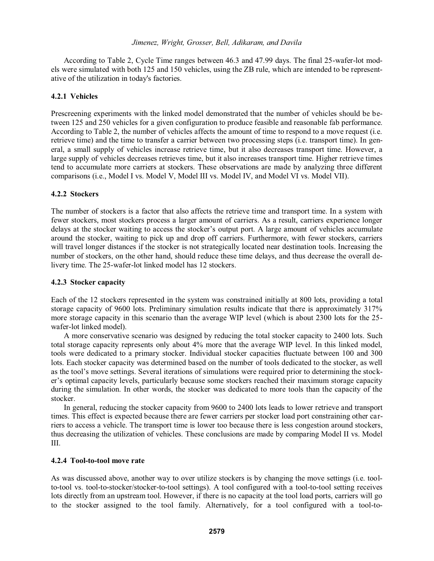According to Table 2, Cycle Time ranges between 46.3 and 47.99 days. The final 25-wafer-lot models were simulated with both 125 and 150 vehicles, using the ZB rule, which are intended to be representative of the utilization in today's factories.

#### **4.2.1 Vehicles**

Prescreening experiments with the linked model demonstrated that the number of vehicles should be between 125 and 250 vehicles for a given configuration to produce feasible and reasonable fab performance. According to Table 2, the number of vehicles affects the amount of time to respond to a move request (i.e. retrieve time) and the time to transfer a carrier between two processing steps (i.e. transport time). In general, a small supply of vehicles increase retrieve time, but it also decreases transport time. However, a large supply of vehicles decreases retrieves time, but it also increases transport time. Higher retrieve times tend to accumulate more carriers at stockers. These observations are made by analyzing three different comparisons (i.e., Model I vs. Model V, Model III vs. Model IV, and Model VI vs. Model VII).

#### **4.2.2 Stockers**

The number of stockers is a factor that also affects the retrieve time and transport time. In a system with fewer stockers, most stockers process a larger amount of carriers. As a result, carriers experience longer delays at the stocker waiting to access the stocker's output port. A large amount of vehicles accumulate around the stocker, waiting to pick up and drop off carriers. Furthermore, with fewer stockers, carriers will travel longer distances if the stocker is not strategically located near destination tools. Increasing the number of stockers, on the other hand, should reduce these time delays, and thus decrease the overall delivery time. The 25-wafer-lot linked model has 12 stockers.

#### **4.2.3 Stocker capacity**

Each of the 12 stockers represented in the system was constrained initially at 800 lots, providing a total storage capacity of 9600 lots. Preliminary simulation results indicate that there is approximately 317% more storage capacity in this scenario than the average WIP level (which is about 2300 lots for the 25 wafer-lot linked model).

A more conservative scenario was designed by reducing the total stocker capacity to 2400 lots. Such total storage capacity represents only about 4% more that the average WIP level. In this linked model, tools were dedicated to a primary stocker. Individual stocker capacities fluctuate between 100 and 300 lots. Each stocker capacity was determined based on the number of tools dedicated to the stocker, as well as the tool's move settings. Several iterations of simulations were required prior to determining the stocker's optimal capacity levels, particularly because some stockers reached their maximum storage capacity during the simulation. In other words, the stocker was dedicated to more tools than the capacity of the stocker.

In general, reducing the stocker capacity from 9600 to 2400 lots leads to lower retrieve and transport times. This effect is expected because there are fewer carriers per stocker load port constraining other carriers to access a vehicle. The transport time is lower too because there is less congestion around stockers, thus decreasing the utilization of vehicles. These conclusions are made by comparing Model II vs. Model III.

#### **4.2.4 Tool-to-tool move rate**

As was discussed above, another way to over utilize stockers is by changing the move settings (i.e. toolto-tool vs. tool-to-stocker/stocker-to-tool settings). A tool configured with a tool-to-tool setting receives lots directly from an upstream tool. However, if there is no capacity at the tool load ports, carriers will go to the stocker assigned to the tool family. Alternatively, for a tool configured with a tool-to-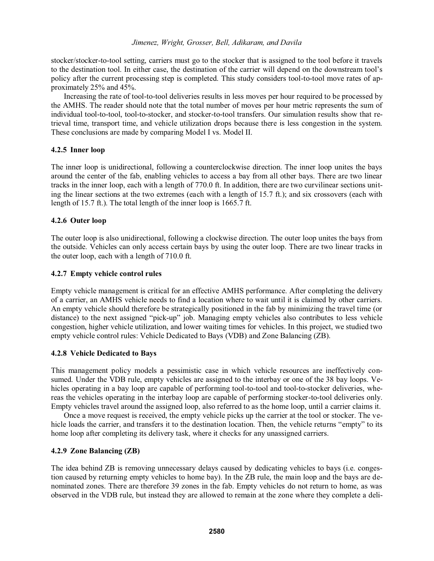stocker/stocker-to-tool setting, carriers must go to the stocker that is assigned to the tool before it travels to the destination tool. In either case, the destination of the carrier will depe   policy after the current processing step is completed. This study considers tool-to-tool move rates of approximately 25% and 45%.

Increasing the rate of tool-to-tool deliveries results in less moves per hour required to be processed by the AMHS. The reader should note that the total number of moves per hour metric represents the sum of individual tool-to-tool, tool-to-stocker, and stocker-to-tool transfers. Our simulation results show that retrieval time, transport time, and vehicle utilization drops because there is less congestion in the system. These conclusions are made by comparing Model I vs. Model II.

### **4.2.5 Inner loop**

The inner loop is unidirectional, following a counterclockwise direction. The inner loop unites the bays around the center of the fab, enabling vehicles to access a bay from all other bays. There are two linear tracks in the inner loop, each with a length of 770.0 ft. In addition, there are two curvilinear sections uniting the linear sections at the two extremes (each with a length of 15.7 ft.); and six crossovers (each with length of 15.7 ft.). The total length of the inner loop is 1665.7 ft.

## **4.2.6 Outer loop**

The outer loop is also unidirectional, following a clockwise direction. The outer loop unites the bays from the outside. Vehicles can only access certain bays by using the outer loop. There are two linear tracks in the outer loop, each with a length of 710.0 ft.

### **4.2.7 Empty vehicle control rules**

Empty vehicle management is critical for an effective AMHS performance. After completing the delivery of a carrier, an AMHS vehicle needs to find a location where to wait until it is claimed by other carriers. An empty vehicle should therefore be strategically positioned in the fab by minimizing the travel time (or distance) to the next assigned "pick-up" job. Managing empty vehicles also contributes to less vehicle congestion, higher vehicle utilization, and lower waiting times for vehicles. In this project, we studied two empty vehicle control rules: Vehicle Dedicated to Bays (VDB) and Zone Balancing (ZB).

### **4.2.8 Vehicle Dedicated to Bays**

This management policy models a pessimistic case in which vehicle resources are ineffectively consumed. Under the VDB rule, empty vehicles are assigned to the interbay or one of the 38 bay loops. Vehicles operating in a bay loop are capable of performing tool-to-tool and tool-to-stocker deliveries, whereas the vehicles operating in the interbay loop are capable of performing stocker-to-tool deliveries only. Empty vehicles travel around the assigned loop, also referred to as the home loop, until a carrier claims it.

Once a move request is received, the empty vehicle picks up the carrier at the tool or stocker. The vehicle loads the carrier, and transfers it to the destination location. Then, the vehicle returns "empty" to its home loop after completing its delivery task, where it checks for any unassigned carriers.

### **4.2.9 Zone Balancing (ZB)**

The idea behind ZB is removing unnecessary delays caused by dedicating vehicles to bays (i.e. congestion caused by returning empty vehicles to home bay). In the ZB rule, the main loop and the bays are denominated zones. There are therefore 39 zones in the fab. Empty vehicles do not return to home, as was observed in the VDB rule, but instead they are allowed to remain at the zone where they complete a deli-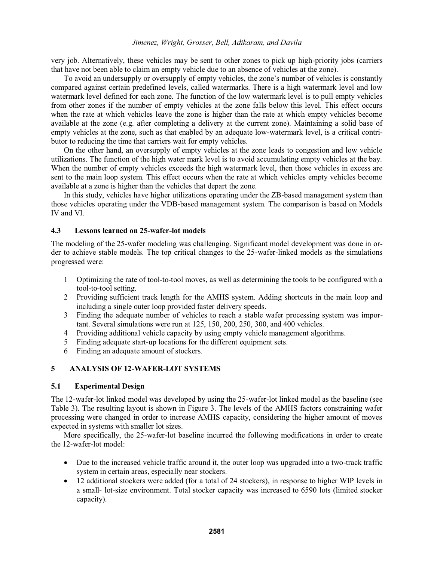very job. Alternatively, these vehicles may be sent to other zones to pick up high-priority jobs (carriers that have not been able to claim an empty vehicle due to an absence of vehicles at the zone).

To avoid an undersupply or oversupply of empty vehicles, the zone's number of vehicles is constantly compared against certain predefined levels, called watermarks. There is a high watermark level and low watermark level defined for each zone. The function of the low watermark level is to pull empty vehicles from other zones if the number of empty vehicles at the zone falls below this level. This effect occurs when the rate at which vehicles leave the zone is higher than the rate at which empty vehicles become available at the zone (e.g. after completing a delivery at the current zone). Maintaining a solid base of empty vehicles at the zone, such as that enabled by an adequate low-watermark level, is a critical contributor to reducing the time that carriers wait for empty vehicles.

On the other hand, an oversupply of empty vehicles at the zone leads to congestion and low vehicle utilizations. The function of the high water mark level is to avoid accumulating empty vehicles at the bay. When the number of empty vehicles exceeds the high watermark level, then those vehicles in excess are sent to the main loop system. This effect occurs when the rate at which vehicles empty vehicles become available at a zone is higher than the vehicles that depart the zone.

In this study, vehicles have higher utilizations operating under the ZB-based management system than those vehicles operating under the VDB-based management system. The comparison is based on Models IV and VI.

#### **4.3 Lessons learned on 25-wafer-lot models**

The modeling of the 25-wafer modeling was challenging. Significant model development was done in order to achieve stable models. The top critical changes to the 25-wafer-linked models as the simulations progressed were:

- 1 Optimizing the rate of tool-to-tool moves, as well as determining the tools to be configured with a tool-to-tool setting.
- 2 Providing sufficient track length for the AMHS system. Adding shortcuts in the main loop and including a single outer loop provided faster delivery speeds.
- 3 Finding the adequate number of vehicles to reach a stable wafer processing system was important. Several simulations were run at 125, 150, 200, 250, 300, and 400 vehicles.
- 4 Providing additional vehicle capacity by using empty vehicle management algorithms.
- 5 Finding adequate start-up locations for the different equipment sets.
- 6 Finding an adequate amount of stockers.

### **5 ANALYSIS OF 12-WAFER-LOT SYSTEMS**

#### **5.1 Experimental Design**

The 12-wafer-lot linked model was developed by using the 25-wafer-lot linked model as the baseline (see Table 3). The resulting layout is shown in Figure 3. The levels of the AMHS factors constraining wafer processing were changed in order to increase AMHS capacity, considering the higher amount of moves expected in systems with smaller lot sizes.

More specifically, the 25-wafer-lot baseline incurred the following modifications in order to create the 12-wafer-lot model:

- Due to the increased vehicle traffic around it, the outer loop was upgraded into a two-track traffic system in certain areas, especially near stockers.
- 12 additional stockers were added (for a total of 24 stockers), in response to higher WIP levels in a small- lot-size environment. Total stocker capacity was increased to 6590 lots (limited stocker capacity).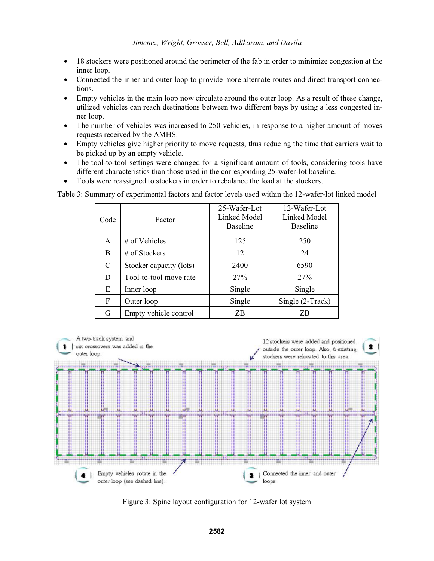- $\bullet$  18 stockers were positioned around the perimeter of the fab in order to minimize congestion at the inner loop.
- $\bullet$  Connected the inner and outer loop to provide more alternate routes and direct transport connections.
- $\bullet$  Empty vehicles in the main loop now circulate around the outer loop. As a result of these change, utilized vehicles can reach destinations between two different bays by using a less congested inner loop.
- $\bullet$  The number of vehicles was increased to 250 vehicles, in response to a higher amount of moves requests received by the AMHS.
- $\bullet$  Empty vehicles give higher priority to move requests, thus reducing the time that carriers wait to be picked up by an empty vehicle.
- $\bullet$  The tool-to-tool settings were changed for a significant amount of tools, considering tools have different characteristics than those used in the corresponding 25-wafer-lot baseline.
- $\bullet$ Tools were reassigned to stockers in order to rebalance the load at the stockers.

Table 3: Summary of experimental factors and factor levels used within the 12-wafer-lot linked model

| Code | Factor                  | 25-Wafer-Lot<br>Linked Model<br><b>Baseline</b> | 12-Wafer-Lot<br>Linked Model<br><b>Baseline</b> |
|------|-------------------------|-------------------------------------------------|-------------------------------------------------|
| A    | # of Vehicles           | 125                                             | 250                                             |
| B    | # of Stockers           | 12                                              | 24                                              |
| C    | Stocker capacity (lots) | 2400                                            | 6590                                            |
| D    | Tool-to-tool move rate  | 27%                                             | 27%                                             |
| E    | Inner loop              | Single                                          | Single                                          |
| F    | Outer loop              | Single                                          | Single (2-Track)                                |
| G    | Empty vehicle control   | ΖB                                              | ΖB                                              |



Figure 3: Spine layout configuration for 12-wafer lot system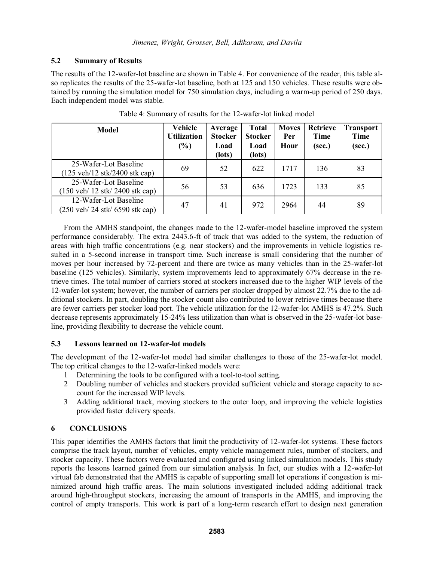## **5.2 Summary of Results**

The results of the 12-wafer-lot baseline are shown in Table 4. For convenience of the reader, this table also replicates the results of the 25-wafer-lot baseline, both at 125 and 150 vehicles. These results were obtained by running the simulation model for 750 simulation days, including a warm-up period of 250 days. Each independent model was stable.

| <b>Model</b>                                                                       | <b>Vehicle</b><br><b>Utilization</b><br>$(\%)$ | Average<br><b>Stocker</b><br>Load<br>(lots) | <b>Total</b><br><b>Stocker</b><br>Load<br>(lots) | <b>Moves</b><br>Per<br>Hour | <b>Retrieve</b><br><b>Time</b><br>(sec.) | <b>Transport</b><br><b>Time</b><br>(sec.) |
|------------------------------------------------------------------------------------|------------------------------------------------|---------------------------------------------|--------------------------------------------------|-----------------------------|------------------------------------------|-------------------------------------------|
| 25-Wafer-Lot Baseline<br>$(125 \text{ veh}/12 \text{ stk}/2400 \text{ stk cap})$   | 69                                             | 52                                          | 622                                              | 1717                        | 136                                      | 83                                        |
| 25-Wafer-Lot Baseline<br>$(150 \text{ veh}/ 12 \text{ stk}/ 2400 \text{ stk cap})$ | 56                                             | 53                                          | 636                                              | 1723                        | 133                                      | 85                                        |
| 12-Wafer-Lot Baseline<br>$(250 \text{ veh}/ 24 \text{ stk}/ 6590 \text{ stk cap})$ | 47                                             | 41                                          | 972                                              | 2964                        | 44                                       | 89                                        |

Table 4: Summary of results for the 12-wafer-lot linked model

From the AMHS standpoint, the changes made to the 12-wafer-model baseline improved the system performance considerably. The extra 2443.6-ft of track that was added to the system, the reduction of areas with high traffic concentrations (e.g. near stockers) and the improvements in vehicle logistics resulted in a 5-second increase in transport time. Such increase is small considering that the number of moves per hour increased by 72-percent and there are twice as many vehicles than in the 25-wafer-lot baseline (125 vehicles). Similarly, system improvements lead to approximately 67% decrease in the retrieve times. The total number of carriers stored at stockers increased due to the higher WIP levels of the 12-wafer-lot system; however, the number of carriers per stocker dropped by almost 22.7% due to the additional stockers. In part, doubling the stocker count also contributed to lower retrieve times because there are fewer carriers per stocker load port. The vehicle utilization for the 12-wafer-lot AMHS is 47.2%. Such decrease represents approximately 15-24% less utilization than what is observed in the 25-wafer-lot baseline, providing flexibility to decrease the vehicle count.

## **5.3 Lessons learned on 12-wafer-lot models**

The development of the 12-wafer-lot model had similar challenges to those of the 25-wafer-lot model. The top critical changes to the 12-wafer-linked models were:

- 1 Determining the tools to be configured with a tool-to-tool setting.
- 2 Doubling number of vehicles and stockers provided sufficient vehicle and storage capacity to account for the increased WIP levels.
- 3 Adding additional track, moving stockers to the outer loop, and improving the vehicle logistics provided faster delivery speeds.

# **6 CONCLUSIONS**

This paper identifies the AMHS factors that limit the productivity of 12-wafer-lot systems. These factors comprise the track layout, number of vehicles, empty vehicle management rules, number of stockers, and stocker capacity. These factors were evaluated and configured using linked simulation models. This study reports the lessons learned gained from our simulation analysis. In fact, our studies with a 12-wafer-lot virtual fab demonstrated that the AMHS is capable of supporting small lot operations if congestion is minimized around high traffic areas. The main solutions investigated included adding additional track around high-throughput stockers, increasing the amount of transports in the AMHS, and improving the control of empty transports. This work is part of a long-term research effort to design next generation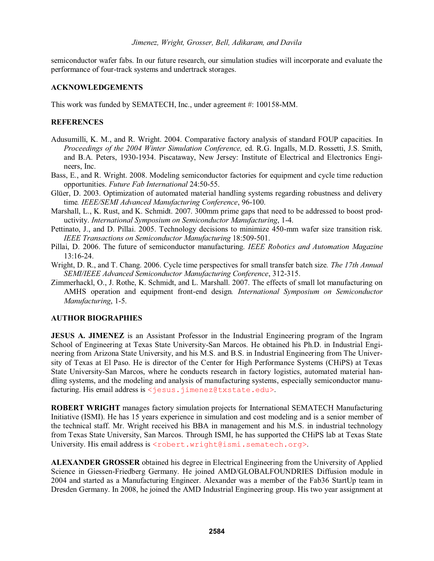semiconductor wafer fabs. In our future research, our simulation studies will incorporate and evaluate the performance of four-track systems and undertrack storages.

## **ACKNOWLEDGEMENTS**

This work was funded by SEMATECH, Inc., under agreement #: 100158-MM.

## **REFERENCES**

- Adusumilli, K. M., and R. Wright. 2004. Comparative factory analysis of standard FOUP capacities*.* In *Proceedings of the 2004 Winter Simulation Conference,* ed. R.G. Ingalls, M.D. Rossetti, J.S. Smith, and B.A. Peters, 1930-1934. Piscataway, New Jersey: Institute of Electrical and Electronics Engineers, Inc.
- Bass, E., and R. Wright. 2008. Modeling semiconductor factories for equipment and cycle time reduction opportunities. *Future Fab International* 24:50-55.
- Glüer, D. 2003. Optimization of automated material handling systems regarding robustness and delivery time*. IEEE/SEMI Advanced Manufacturing Conference*, 96-100.
- Marshall, L., K. Rust, and K. Schmidt. 2007.  $\overline{300}$ mm prime gaps that need to be addressed to boost productivity. *International Symposium on Semiconductor Manufacturing*, 1-4.
- Pettinato, J., and D. Pillai. 2005. Technology decisions to minimize 450-mm wafer size transition risk. *IEEE Transactions on Semiconductor Manufacturing* 18:509-501.
- Pillai, D. 2006. The future of semiconductor manufacturing. *IEEE Robotics and Automation Magazine* 13:16-24.
- Wright, D. R., and T. Chang. 2006. Cycle time perspectives for small transfer batch size*. The 17th Annual SEMI/IEEE Advanced Semiconductor Manufacturing Conference*, 312-315.
- Zimmerhackl, O., J. Rothe, K. Schmidt, and L. Marshall. 2007. The effects of small lot manufacturing on AMHS operation and equipment front-end design*. International Symposium on Semiconductor Manufacturing*, 1-5.

### **AUTHOR BIOGRAPHIES**

**JESUS A. JIMENEZ** is an Assistant Professor in the Industrial Engineering program of the Ingram School of Engineering at Texas State University-San Marcos. He obtained his Ph.D. in Industrial Engineering from Arizona State University, and his M.S. and B.S. in Industrial Engineering from The University of Texas at El Paso. He is director of the Center for High Performance Systems (CHiPS) at Texas State University-San Marcos, where he conducts research in factory logistics, automated material handling systems, and the modeling and analysis of manufacturing systems, especially semiconductor manufacturing. His email address is <jesus.jimenez@txstate.edu>.

**ROBERT WRIGHT** manages factory simulation projects for International SEMATECH Manufacturing Initiative (ISMI). He has 15 years experience in simulation and cost modeling and is a senior member of the technical staff. Mr. Wright received his BBA in management and his M.S. in industrial technology from Texas State University, San Marcos. Through ISMI, he has supported the CHiPS lab at Texas State University. His email address is <robert.wright@ismi.sematech.org>.

**ALEXANDER GROSSER** obtained his degree in Electrical Engineering from the University of Applied Science in Giessen-Friedberg Germany. He joined AMD/GLOBALFOUNDRIES Diffusion module in 2004 and started as a Manufacturing Engineer. Alexander was a member of the Fab36 StartUp team in Dresden Germany. In 2008, he joined the AMD Industrial Engineering group. His two year assignment at